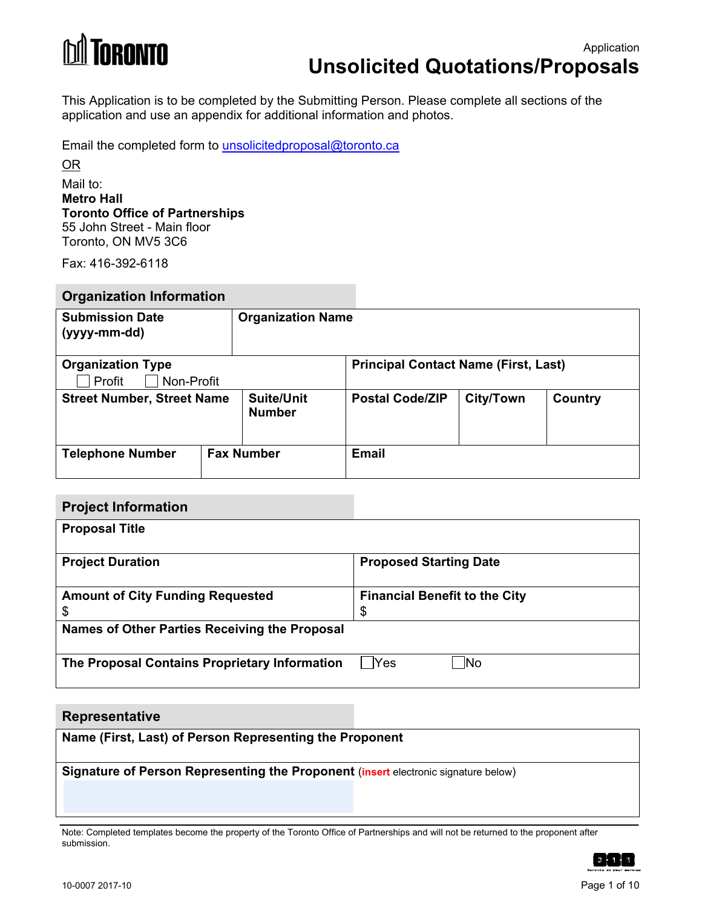

This Application is to be completed by the Submitting Person. Please complete all sections of the application and use an appendix for additional information and photos.

Email the completed form to <u>unsolicitedproposal@toronto.ca</u><br><u>OR</u>

### Mail to: **Metro Hall Toronto Office of Partnerships**  55 John Street - Main floor Toronto, ON MV5 3C6

Fax: 416-392-6118

### **Organization Information**

| <b>Submission Date</b><br>(yyyy-mm-dd)       |  | <b>Organization Name</b>           |                                             |                  |         |
|----------------------------------------------|--|------------------------------------|---------------------------------------------|------------------|---------|
| <b>Organization Type</b>                     |  |                                    | <b>Principal Contact Name (First, Last)</b> |                  |         |
| Profit<br>Non-Profit                         |  |                                    |                                             |                  |         |
| <b>Street Number, Street Name</b>            |  | <b>Suite/Unit</b><br><b>Number</b> | <b>Postal Code/ZIP</b>                      | <b>City/Town</b> | Country |
| <b>Fax Number</b><br><b>Telephone Number</b> |  |                                    | <b>Email</b>                                |                  |         |

# **Financial Benefit to the City Project Information Proposal Title Project Duration Community Community Proposed Starting Date Amount of City Funding Requested**  \$ \$ **Names of Other Parties Receiving the Proposal The Proposal Contains Proprietary Information** PYes Mo

### **Representative**

**Name (First, Last) of Person Representing the Proponent** 

**Signature of Person Representing the Proponent (insert electronic signature below)** 

Note: Completed templates become the property of the Toronto Office of Partnerships and will not be returned to the proponent after submission.

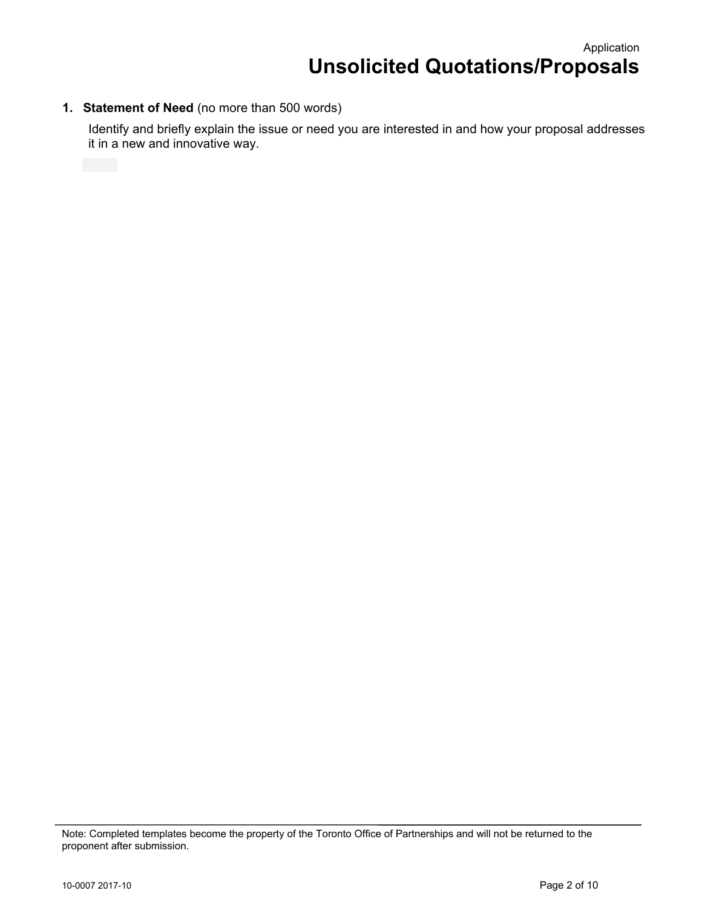## **1. Statement of Need** (no more than 500 words)

Identify and briefly explain the issue or need you are interested in and how your proposal addresses it in a new and innovative way.

Note: Completed templates become the property of the Toronto Office of Partnerships and will not be returned to the proponent after submission.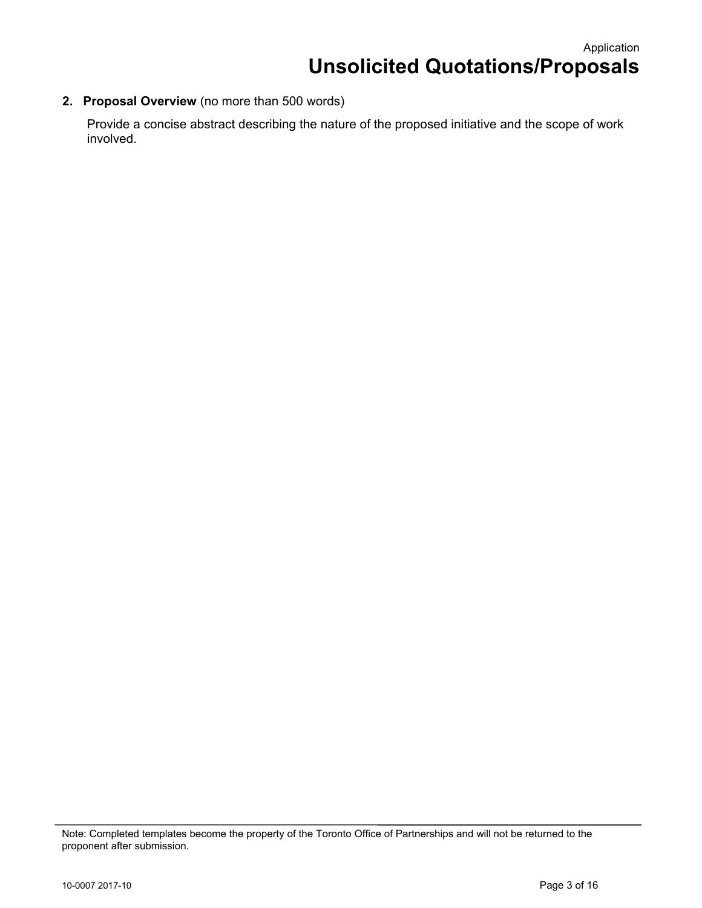**2. Proposal Overview** (no more than 500 words)

Provide a concise abstract describing the nature of the proposed initiative and the scope of work involved.

Note: Completed templates become the property of the Toronto Office of Partnerships and will not be returned to the proponent after submission.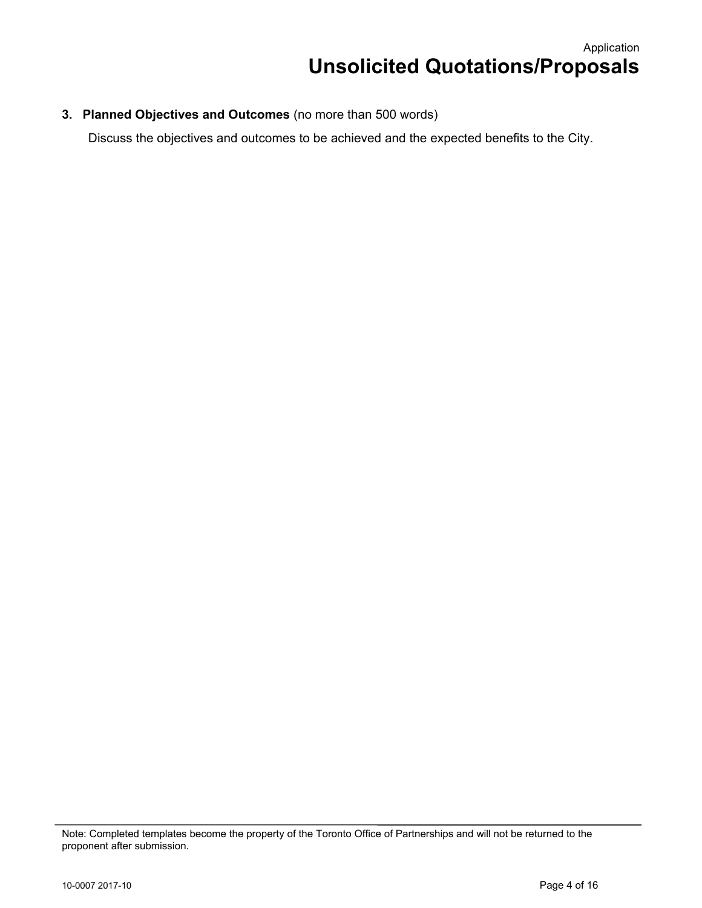**3. Planned Objectives and Outcomes** (no more than 500 words)

Discuss the objectives and outcomes to be achieved and the expected benefits to the City.

Note: Completed templates become the property of the Toronto Office of Partnerships and will not be returned to the proponent after submission.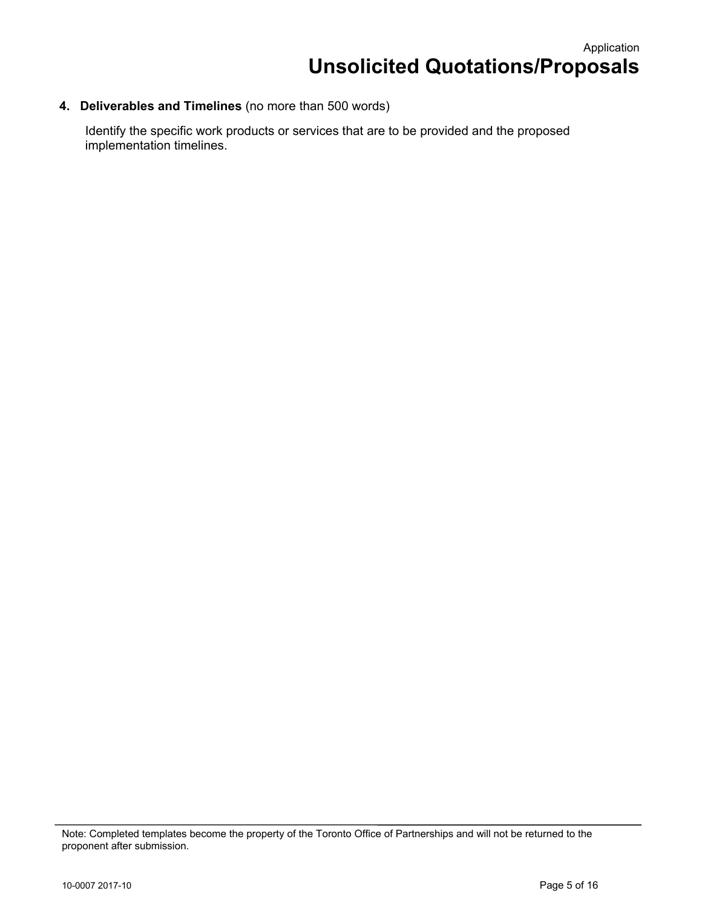# **4. Deliverables and Timelines** (no more than 500 words)

Identify the specific work products or services that are to be provided and the proposed implementation timelines.

Note: Completed templates become the property of the Toronto Office of Partnerships and will not be returned to the proponent after submission.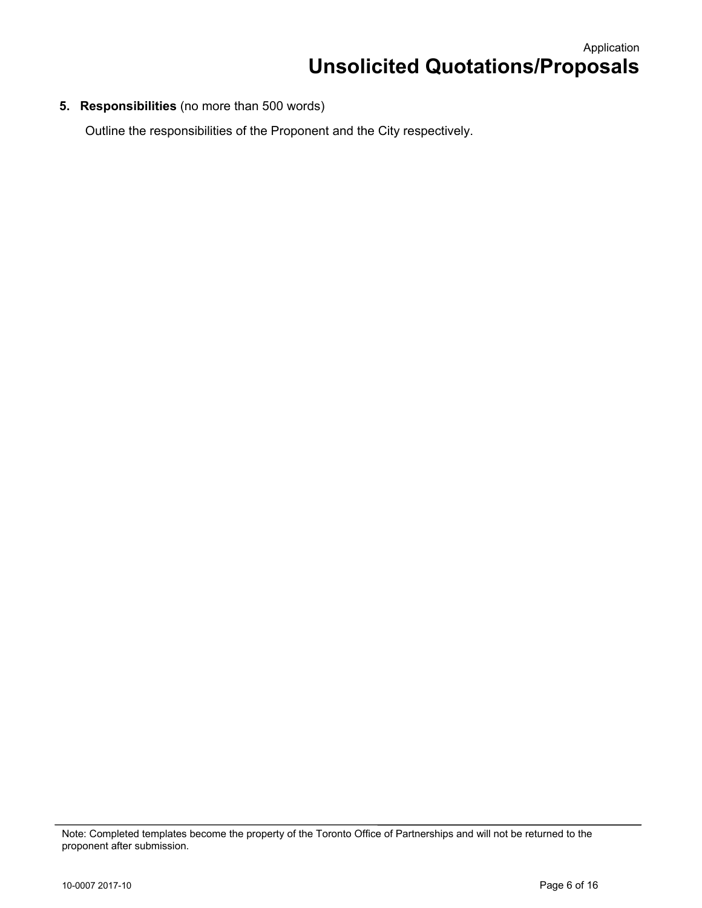**5. Responsibilities** (no more than 500 words)

Outline the responsibilities of the Proponent and the City respectively.

Note: Completed templates become the property of the Toronto Office of Partnerships and will not be returned to the proponent after submission.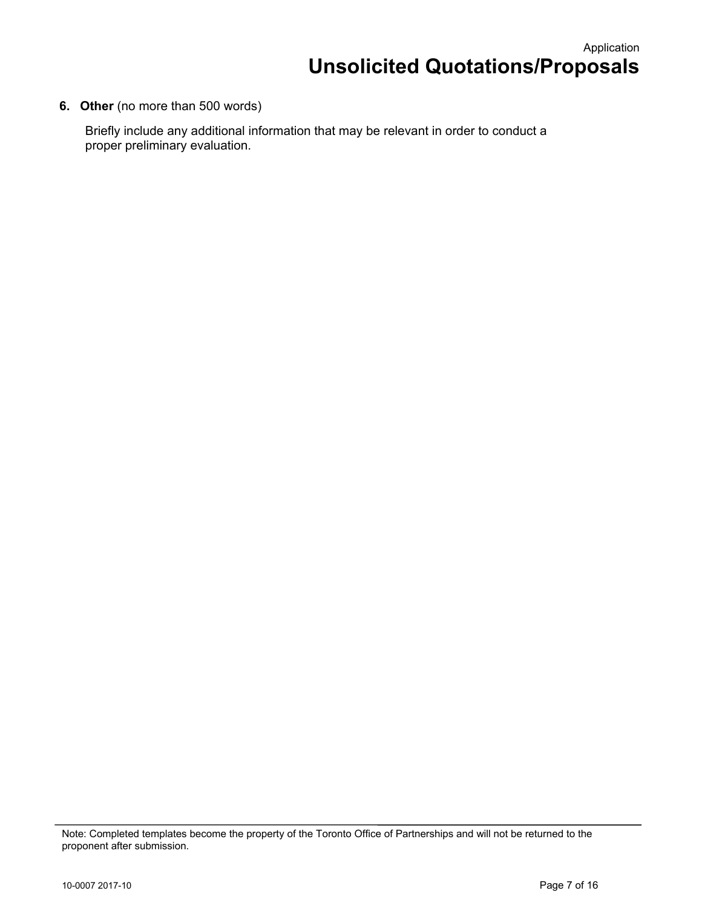**6. Other** (no more than 500 words)

Briefly include any additional information that may be relevant in order to conduct a proper preliminary evaluation.

Note: Completed templates become the property of the Toronto Office of Partnerships and will not be returned to the proponent after submission.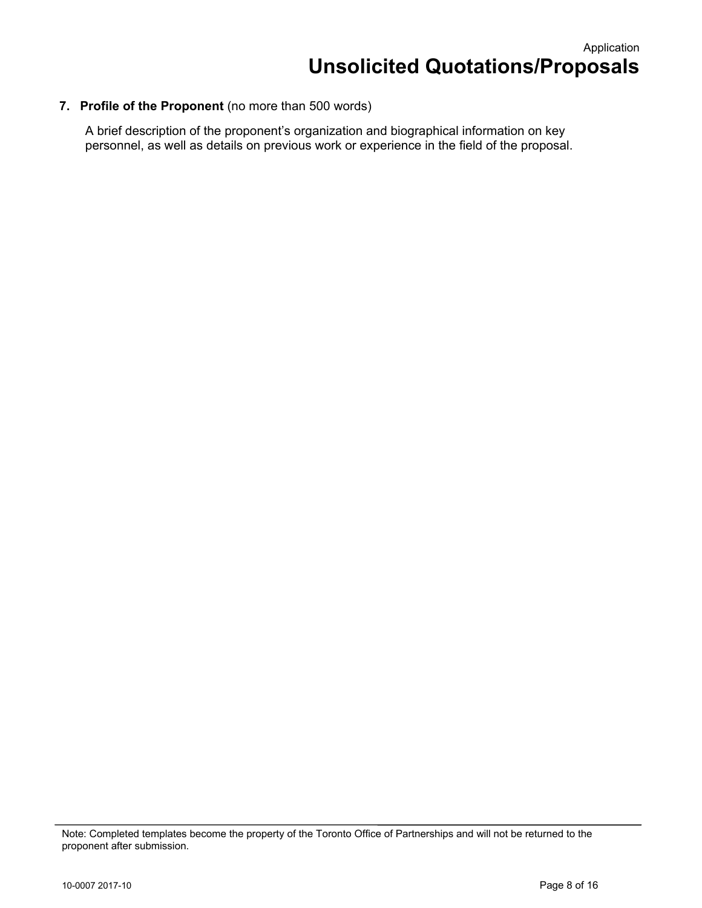### **7. Profile of the Proponent** (no more than 500 words)

A brief description of the proponent's organization and biographical information on key personnel, as well as details on previous work or experience in the field of the proposal.

Note: Completed templates become the property of the Toronto Office of Partnerships and will not be returned to the proponent after submission.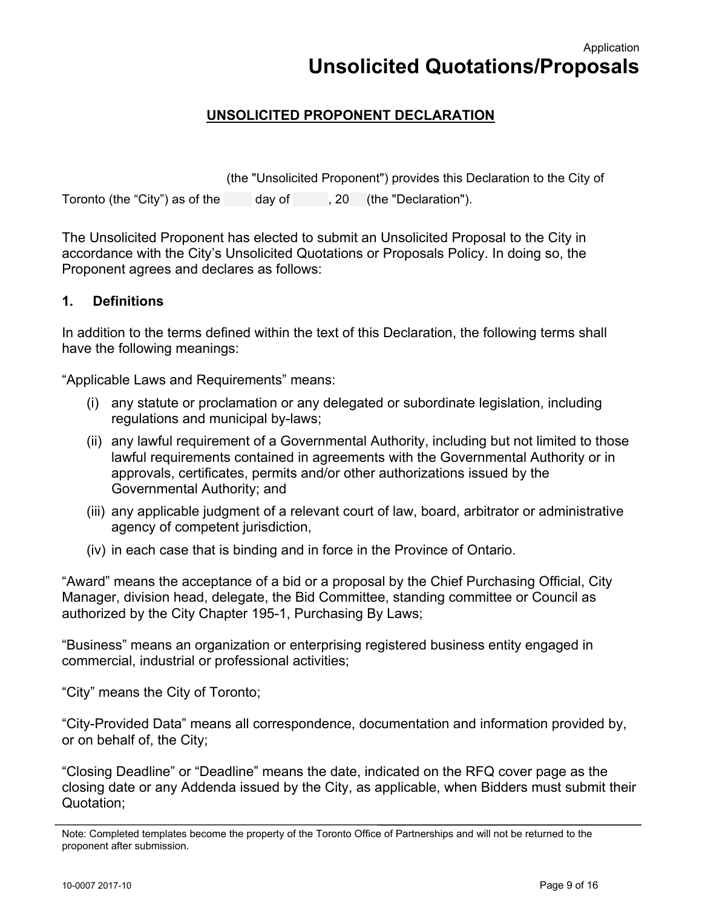Application **Unsolicited Quotations/Proposals** 

# **UNSOLICITED PROPONENT DECLARATION**

 Toronto (the "City") as of the day of , 20 (the "Declaration"). (the "Unsolicited Proponent") provides this Declaration to the City of

The Unsolicited Proponent has elected to submit an Unsolicited Proposal to the City in accordance with the City's Unsolicited Quotations or Proposals Policy. In doing so, the Proponent agrees and declares as follows:

### **1. Definitions**

In addition to the terms defined within the text of this Declaration, the following terms shall have the following meanings:

"Applicable Laws and Requirements" means:

- (i) any statute or proclamation or any delegated or subordinate legislation, including regulations and municipal by-laws;
- (ii) any lawful requirement of a Governmental Authority, including but not limited to those lawful requirements contained in agreements with the Governmental Authority or in approvals, certificates, permits and/or other authorizations issued by the Governmental Authority; and
- (iii) any applicable judgment of a relevant court of law, board, arbitrator or administrative agency of competent jurisdiction,
- (iv) in each case that is binding and in force in the Province of Ontario.

"Award" means the acceptance of a bid or a proposal by the Chief Purchasing Official, City Manager, division head, delegate, the Bid Committee, standing committee or Council as authorized by the City Chapter 195-1, Purchasing By Laws;

"Business" means an organization or enterprising registered business entity engaged in commercial, industrial or professional activities;

"City" means the City of Toronto;

"City-Provided Data" means all correspondence, documentation and information provided by, or on behalf of, the City;

"Closing Deadline" or "Deadline" means the date, indicated on the RFQ cover page as the closing date or any Addenda issued by the City, as applicable, when Bidders must submit their Quotation;

Note: Completed templates become the property of the Toronto Office of Partnerships and will not be returned to the proponent after submission.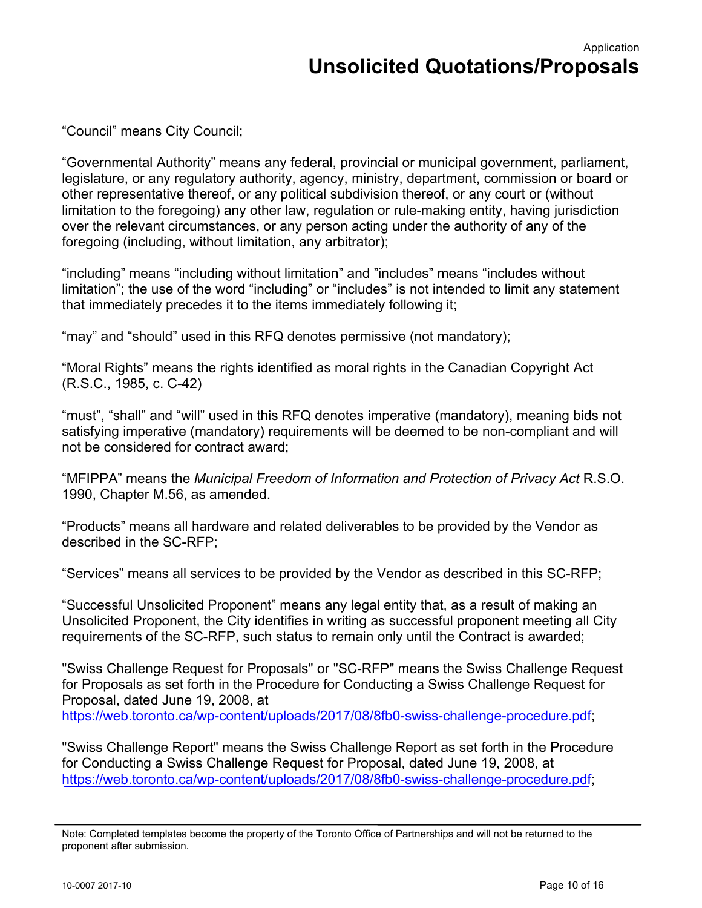"Council" means City Council;

"Governmental Authority" means any federal, provincial or municipal government, parliament, legislature, or any regulatory authority, agency, ministry, department, commission or board or other representative thereof, or any political subdivision thereof, or any court or (without limitation to the foregoing) any other law, regulation or rule-making entity, having jurisdiction over the relevant circumstances, or any person acting under the authority of any of the foregoing (including, without limitation, any arbitrator);

"including" means "including without limitation" and "includes" means "includes without limitation"; the use of the word "including" or "includes" is not intended to limit any statement that immediately precedes it to the items immediately following it;

"may" and "should" used in this RFQ denotes permissive (not mandatory);

"Moral Rights" means the rights identified as moral rights in the Canadian Copyright Act (R.S.C., 1985, c. C-42)

"must", "shall" and "will" used in this RFQ denotes imperative (mandatory), meaning bids not satisfying imperative (mandatory) requirements will be deemed to be non-compliant and will not be considered for contract award;

"MFIPPA" means the *Municipal Freedom of Information and Protection of Privacy Act* R.S.O. 1990, Chapter M.56, as amended.

"Products" means all hardware and related deliverables to be provided by the Vendor as described in the SC-RFP;

"Services" means all services to be provided by the Vendor as described in this SC-RFP;

"Successful Unsolicited Proponent" means any legal entity that, as a result of making an Unsolicited Proponent, the City identifies in writing as successful proponent meeting all City requirements of the SC-RFP, such status to remain only until the Contract is awarded;

"Swiss Challenge Request for Proposals" or "SC-RFP" means the Swiss Challenge Request for Proposals as set forth in the Procedure for Conducting a Swiss Challenge Request for Proposal, dated June 19, 2008, at https://web.toronto.ca/wp-content/uploads/2017/08/8fb0-swiss-challenge-procedure.pdf;

"Swiss Challenge Report" means the Swiss Challenge Report as set forth in the Procedure for Conducting a Swiss Challenge Request for Proposal, dated June 19, 2008, at https://web.toronto.ca/wp-content/uploads/2017/08/8fb0-swiss-challenge-procedure.pdf;

Note: Completed templates become the property of the Toronto Office of Partnerships and will not be returned to the proponent after submission.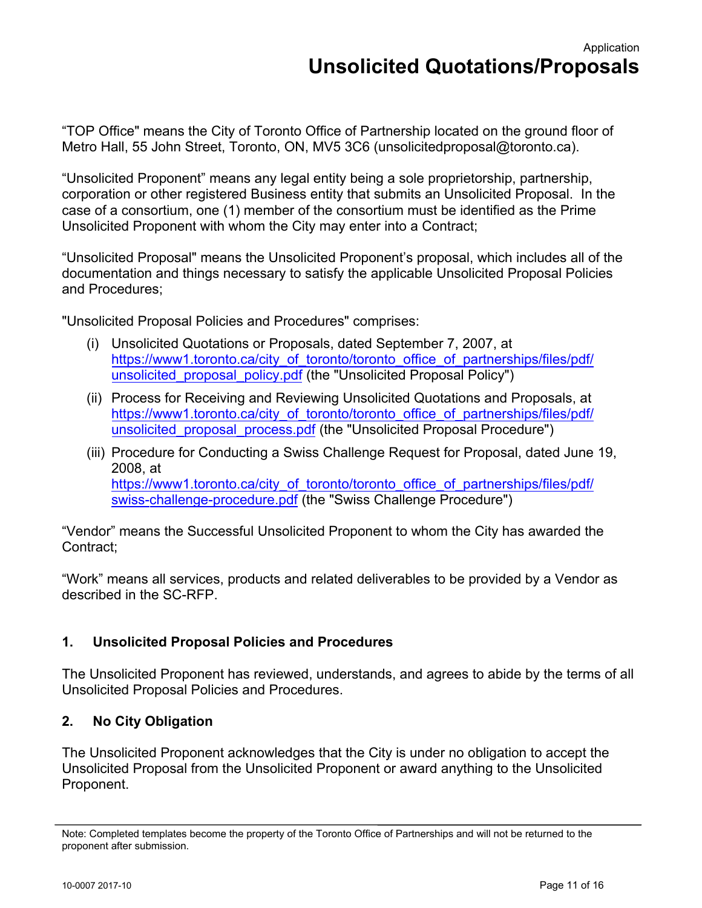"TOP Office" means the City of Toronto Office of Partnership located on the ground floor of Metro Hall, 55 John Street, Toronto, ON, MV5 3C6 (unsolicitedproposal@toronto.ca).

"Unsolicited Proponent" means any legal entity being a sole proprietorship, partnership, corporation or other registered Business entity that submits an Unsolicited Proposal. In the case of a consortium, one (1) member of the consortium must be identified as the Prime Unsolicited Proponent with whom the City may enter into a Contract;

"Unsolicited Proposal" means the Unsolicited Proponent's proposal, which includes all of the documentation and things necessary to satisfy the applicable Unsolicited Proposal Policies and Procedures;

"Unsolicited Proposal Policies and Procedures" comprises:

- (i) Unsolicited Quotations or Proposals, dated September 7, 2007, at https[://www1.toronto.ca/city\\_of\\_toronto/toronto\\_office\\_of\\_partnerships/files/pdf/](https://web.toronto.ca/business-economy/doing-business-with-the-city/unsolicited-quotations-for-proposals-policy/) unsolicited proposal policy.pdf (the "Unsolicited Proposal Policy")
- (ii) Process for Receiving and Reviewing Unsolicited Quotations and Proposals, at https[://www1.toronto.ca/city\\_of\\_toronto/toronto\\_office\\_of\\_partnerships/files/pdf/](https://web.toronto.ca/business-economy/doing-business-with-the-city/process-for-receiving-and-reviewing-unsolicited-quotations-and-proposals/) unsolicited proposal process.pdf (the "Unsolicited Proposal Procedure")
- (iii) Procedure for Conducting a Swiss Challenge Request for Proposal, dated June 19, 2008, at https[://www1.toronto.ca/city\\_of\\_toronto/toronto\\_office\\_of\\_partnerships/files/pdf/](https://web.toronto.ca/wp-content/uploads/2017/08/8fb0-swiss-challenge-procedure.pdf) swiss-challenge-procedure.pdf (the "Swiss Challenge Procedure")

"Vendor" means the Successful Unsolicited Proponent to whom the City has awarded the Contract;

"Work" means all services, products and related deliverables to be provided by a Vendor as described in the SC-RFP.

# **1. Unsolicited Proposal Policies and Procedures**

The Unsolicited Proponent has reviewed, understands, and agrees to abide by the terms of all Unsolicited Proposal Policies and Procedures.

# **2. No City Obligation**

The Unsolicited Proponent acknowledges that the City is under no obligation to accept the Unsolicited Proposal from the Unsolicited Proponent or award anything to the Unsolicited Proponent.

Note: Completed templates become the property of the Toronto Office of Partnerships and will not be returned to the proponent after submission.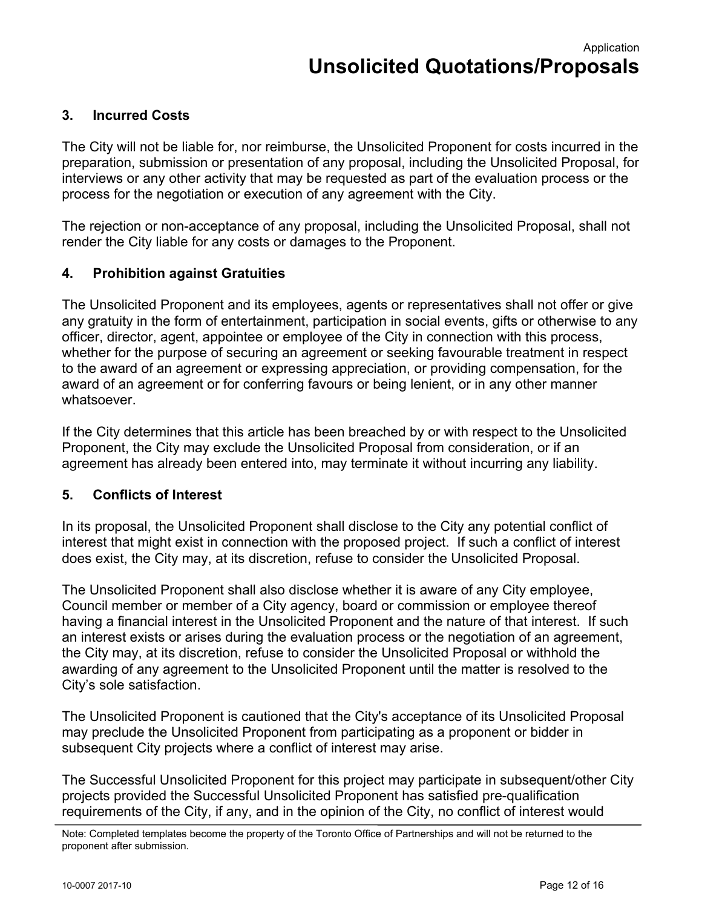Application **Unsolicited Quotations/Proposals** 

# **3. Incurred Costs**

The City will not be liable for, nor reimburse, the Unsolicited Proponent for costs incurred in the preparation, submission or presentation of any proposal, including the Unsolicited Proposal, for interviews or any other activity that may be requested as part of the evaluation process or the process for the negotiation or execution of any agreement with the City.

The rejection or non-acceptance of any proposal, including the Unsolicited Proposal, shall not render the City liable for any costs or damages to the Proponent.

## **4. Prohibition against Gratuities**

The Unsolicited Proponent and its employees, agents or representatives shall not offer or give any gratuity in the form of entertainment, participation in social events, gifts or otherwise to any officer, director, agent, appointee or employee of the City in connection with this process, whether for the purpose of securing an agreement or seeking favourable treatment in respect to the award of an agreement or expressing appreciation, or providing compensation, for the award of an agreement or for conferring favours or being lenient, or in any other manner whatsoever.

If the City determines that this article has been breached by or with respect to the Unsolicited Proponent, the City may exclude the Unsolicited Proposal from consideration, or if an agreement has already been entered into, may terminate it without incurring any liability.

### **5. Conflicts of Interest**

In its proposal, the Unsolicited Proponent shall disclose to the City any potential conflict of interest that might exist in connection with the proposed project. If such a conflict of interest does exist, the City may, at its discretion, refuse to consider the Unsolicited Proposal.

The Unsolicited Proponent shall also disclose whether it is aware of any City employee, Council member or member of a City agency, board or commission or employee thereof having a financial interest in the Unsolicited Proponent and the nature of that interest. If such an interest exists or arises during the evaluation process or the negotiation of an agreement, the City may, at its discretion, refuse to consider the Unsolicited Proposal or withhold the awarding of any agreement to the Unsolicited Proponent until the matter is resolved to the City's sole satisfaction.

The Unsolicited Proponent is cautioned that the City's acceptance of its Unsolicited Proposal may preclude the Unsolicited Proponent from participating as a proponent or bidder in subsequent City projects where a conflict of interest may arise.

The Successful Unsolicited Proponent for this project may participate in subsequent/other City projects provided the Successful Unsolicited Proponent has satisfied pre-qualification requirements of the City, if any, and in the opinion of the City, no conflict of interest would

Note: Completed templates become the property of the Toronto Office of Partnerships and will not be returned to the proponent after submission.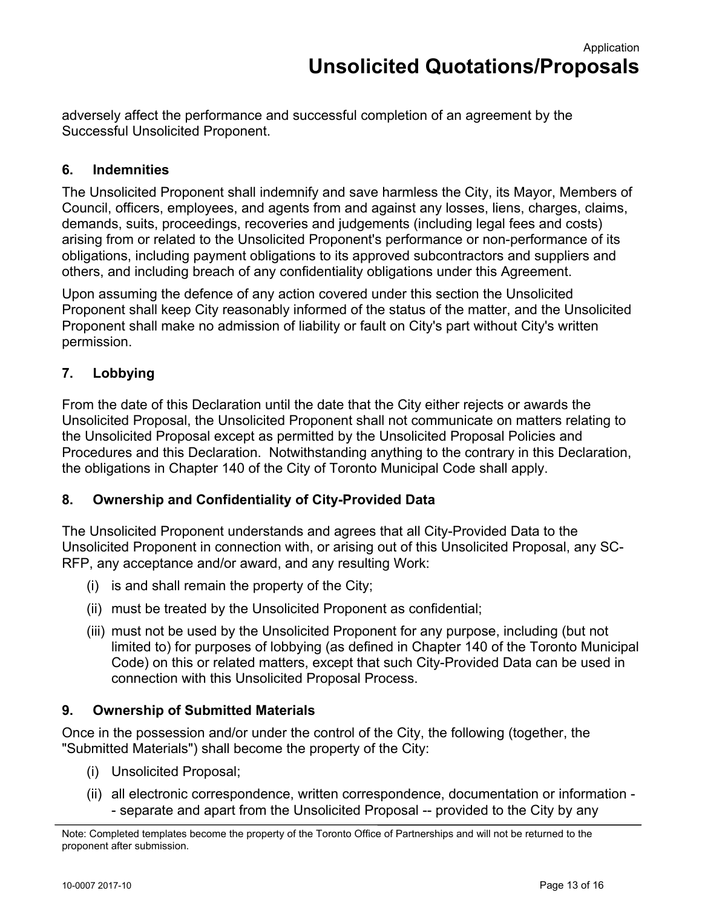adversely affect the performance and successful completion of an agreement by the Successful Unsolicited Proponent.

# **6. Indemnities**

The Unsolicited Proponent shall indemnify and save harmless the City, its Mayor, Members of Council, officers, employees, and agents from and against any losses, liens, charges, claims, demands, suits, proceedings, recoveries and judgements (including legal fees and costs) arising from or related to the Unsolicited Proponent's performance or non-performance of its obligations, including payment obligations to its approved subcontractors and suppliers and others, and including breach of any confidentiality obligations under this Agreement.

 permission. Upon assuming the defence of any action covered under this section the Unsolicited Proponent shall keep City reasonably informed of the status of the matter, and the Unsolicited Proponent shall make no admission of liability or fault on City's part without City's written

# **7. Lobbying**

From the date of this Declaration until the date that the City either rejects or awards the Unsolicited Proposal, the Unsolicited Proponent shall not communicate on matters relating to the Unsolicited Proposal except as permitted by the Unsolicited Proposal Policies and Procedures and this Declaration. Notwithstanding anything to the contrary in this Declaration, the obligations in Chapter 140 of the City of Toronto Municipal Code shall apply.

# **8. Ownership and Confidentiality of City-Provided Data**

The Unsolicited Proponent understands and agrees that all City-Provided Data to the Unsolicited Proponent in connection with, or arising out of this Unsolicited Proposal, any SC-RFP, any acceptance and/or award, and any resulting Work:

- (i) is and shall remain the property of the City;
- (ii) must be treated by the Unsolicited Proponent as confidential;
- (iii) must not be used by the Unsolicited Proponent for any purpose, including (but not limited to) for purposes of lobbying (as defined in Chapter 140 of the Toronto Municipal Code) on this or related matters, except that such City-Provided Data can be used in connection with this Unsolicited Proposal Process.

# **9. Ownership of Submitted Materials**

Once in the possession and/or under the control of the City, the following (together, the "Submitted Materials") shall become the property of the City:

- (i) Unsolicited Proposal;
- (ii) all electronic correspondence, written correspondence, documentation or information - separate and apart from the Unsolicited Proposal -- provided to the City by any

Note: Completed templates become the property of the Toronto Office of Partnerships and will not be returned to the proponent after submission.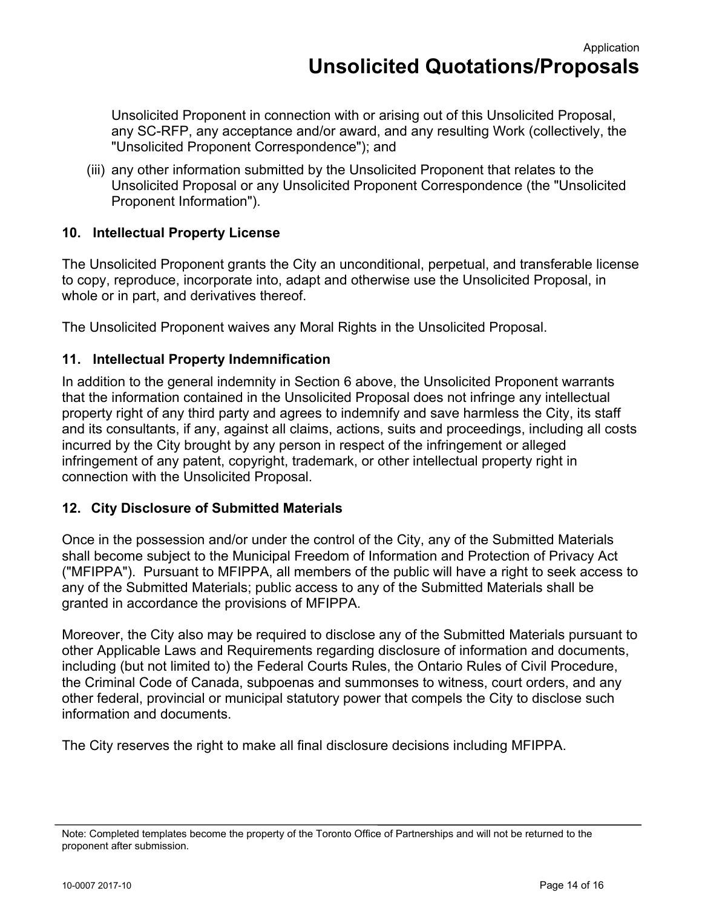Unsolicited Proponent in connection with or arising out of this Unsolicited Proposal, any SC-RFP, any acceptance and/or award, and any resulting Work (collectively, the "Unsolicited Proponent Correspondence"); and

(iii) any other information submitted by the Unsolicited Proponent that relates to the Unsolicited Proposal or any Unsolicited Proponent Correspondence (the "Unsolicited Proponent Information").

# **10. Intellectual Property License**

The Unsolicited Proponent grants the City an unconditional, perpetual, and transferable license to copy, reproduce, incorporate into, adapt and otherwise use the Unsolicited Proposal, in whole or in part, and derivatives thereof.

The Unsolicited Proponent waives any Moral Rights in the Unsolicited Proposal.

# **11. Intellectual Property Indemnification**

In addition to the general indemnity in Section 6 above, the Unsolicited Proponent warrants that the information contained in the Unsolicited Proposal does not infringe any intellectual property right of any third party and agrees to indemnify and save harmless the City, its staff and its consultants, if any, against all claims, actions, suits and proceedings, including all costs incurred by the City brought by any person in respect of the infringement or alleged infringement of any patent, copyright, trademark, or other intellectual property right in connection with the Unsolicited Proposal.

# **12. City Disclosure of Submitted Materials**

Once in the possession and/or under the control of the City, any of the Submitted Materials shall become subject to the Municipal Freedom of Information and Protection of Privacy Act ("MFIPPA"). Pursuant to MFIPPA, all members of the public will have a right to seek access to any of the Submitted Materials; public access to any of the Submitted Materials shall be granted in accordance the provisions of MFIPPA.

Moreover, the City also may be required to disclose any of the Submitted Materials pursuant to other Applicable Laws and Requirements regarding disclosure of information and documents, including (but not limited to) the Federal Courts Rules, the Ontario Rules of Civil Procedure, the Criminal Code of Canada, subpoenas and summonses to witness, court orders, and any other federal, provincial or municipal statutory power that compels the City to disclose such information and documents.

The City reserves the right to make all final disclosure decisions including MFIPPA.

Note: Completed templates become the property of the Toronto Office of Partnerships and will not be returned to the proponent after submission.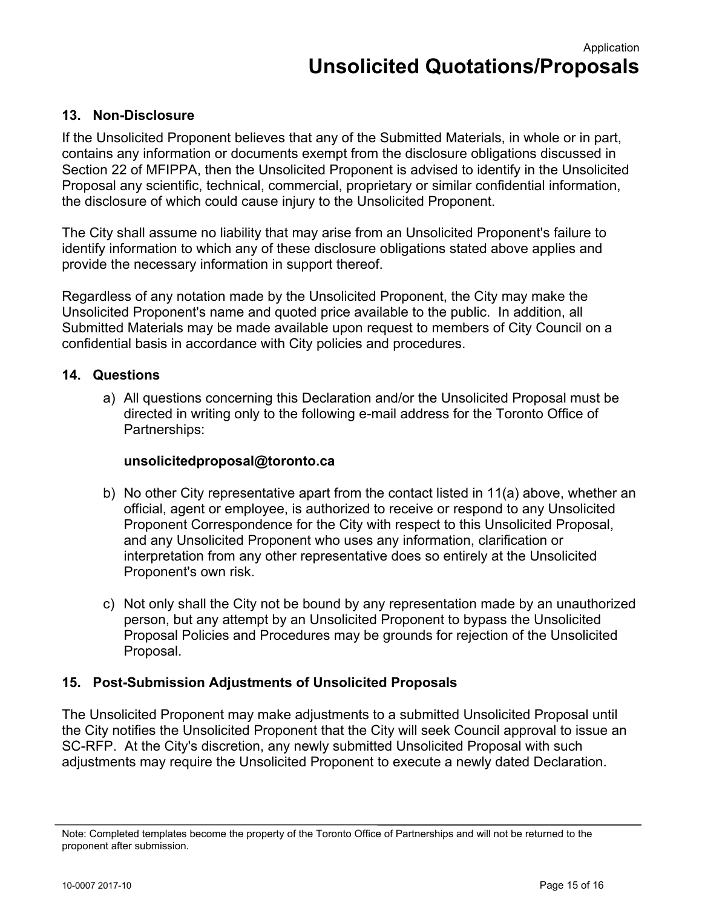# **13. Non-Disclosure**

If the Unsolicited Proponent believes that any of the Submitted Materials, in whole or in part, contains any information or documents exempt from the disclosure obligations discussed in Section 22 of MFIPPA, then the Unsolicited Proponent is advised to identify in the Unsolicited Proposal any scientific, technical, commercial, proprietary or similar confidential information, the disclosure of which could cause injury to the Unsolicited Proponent.

The City shall assume no liability that may arise from an Unsolicited Proponent's failure to identify information to which any of these disclosure obligations stated above applies and provide the necessary information in support thereof.

Regardless of any notation made by the Unsolicited Proponent, the City may make the Unsolicited Proponent's name and quoted price available to the public. In addition, all Submitted Materials may be made available upon request to members of City Council on a confidential basis in accordance with City policies and procedures.

# **14. Questions**

a) All questions concerning this Declaration and/or the Unsolicited Proposal must be directed in writing only to the following e-mail address for the Toronto Office of Partnerships:

# **[unsolicitedproposal@toronto.ca](mailto:unsolicitedproposal@toronto.ca)**

- b) No other City representative apart from the contact listed in 11(a) above, whether an official, agent or employee, is authorized to receive or respond to any Unsolicited Proponent Correspondence for the City with respect to this Unsolicited Proposal, and any Unsolicited Proponent who uses any information, clarification or interpretation from any other representative does so entirely at the Unsolicited Proponent's own risk.
- c) Not only shall the City not be bound by any representation made by an unauthorized person, but any attempt by an Unsolicited Proponent to bypass the Unsolicited Proposal Policies and Procedures may be grounds for rejection of the Unsolicited Proposal.

# **15. Post-Submission Adjustments of Unsolicited Proposals**

The Unsolicited Proponent may make adjustments to a submitted Unsolicited Proposal until the City notifies the Unsolicited Proponent that the City will seek Council approval to issue an SC-RFP. At the City's discretion, any newly submitted Unsolicited Proposal with such adjustments may require the Unsolicited Proponent to execute a newly dated Declaration.

Note: Completed templates become the property of the Toronto Office of Partnerships and will not be returned to the proponent after submission.